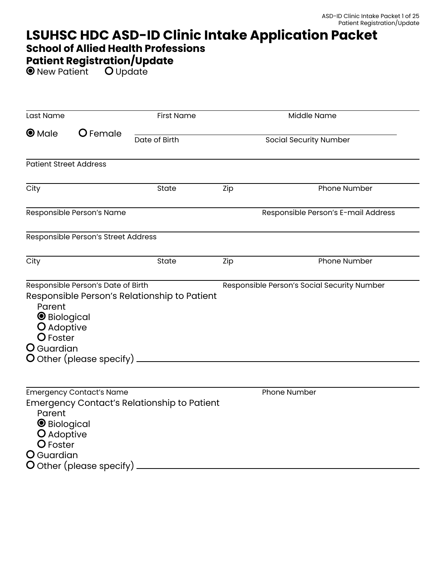# **LSUHSC HDC ASD-ID Clinic Intake Application Packet**

### **School of Allied Health Professions**

# **Patient Registration/Update**

New Patient **U** Update

| Last Name                                                                                                                                                                                                                                                          |                                     | <b>First Name</b> |                               | Middle Name                         |  |  |  |
|--------------------------------------------------------------------------------------------------------------------------------------------------------------------------------------------------------------------------------------------------------------------|-------------------------------------|-------------------|-------------------------------|-------------------------------------|--|--|--|
| $\bullet$ Male                                                                                                                                                                                                                                                     | O Female                            | Date of Birth     | <b>Social Security Number</b> |                                     |  |  |  |
| <b>Patient Street Address</b>                                                                                                                                                                                                                                      |                                     |                   |                               |                                     |  |  |  |
| City                                                                                                                                                                                                                                                               |                                     | State             | Zip                           | Phone Number                        |  |  |  |
|                                                                                                                                                                                                                                                                    | Responsible Person's Name           |                   |                               | Responsible Person's E-mail Address |  |  |  |
|                                                                                                                                                                                                                                                                    | Responsible Person's Street Address |                   |                               |                                     |  |  |  |
| City                                                                                                                                                                                                                                                               |                                     | State             | Zip                           | Phone Number                        |  |  |  |
| Responsible Person's Date of Birth<br>Responsible Person's Social Security Number<br>Responsible Person's Relationship to Patient<br>Parent<br><b>O</b> Biological<br>O Adoptive<br>O Foster<br>O Guardian<br>$\overline{O}$ Other (please specify) $\overline{O}$ |                                     |                   |                               |                                     |  |  |  |
| <b>Emergency Contact's Name</b><br><b>Emergency Contact's Relationship to Patient</b><br>Parent<br><b>O</b> Biological<br>O Adoptive<br>O Foster<br>O Guardian<br>O Other (please specify)                                                                         |                                     |                   |                               | Phone Number                        |  |  |  |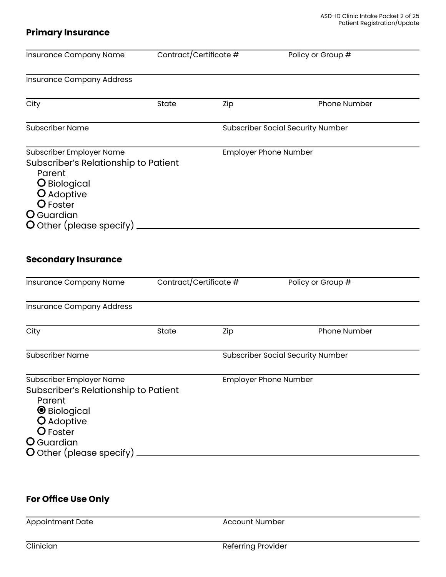#### **Primary Insurance**

| Insurance Company Name                                                                                                                                                                        | Contract/Certificate # |     | Policy or Group #                        |
|-----------------------------------------------------------------------------------------------------------------------------------------------------------------------------------------------|------------------------|-----|------------------------------------------|
| <b>Insurance Company Address</b>                                                                                                                                                              |                        |     |                                          |
| City                                                                                                                                                                                          | State                  | Zip | Phone Number                             |
| <b>Subscriber Name</b>                                                                                                                                                                        |                        |     | <b>Subscriber Social Security Number</b> |
| Subscriber Employer Name<br>Subscriber's Relationship to Patient<br>Parent<br>O Biological<br>O Adoptive<br>O Foster<br>O Guardian<br>O Other (please specify).<br><b>Secondary Insurance</b> |                        |     | <b>Employer Phone Number</b>             |
| Insurance Company Name                                                                                                                                                                        | Contract/Certificate # |     | Policy or Group #                        |
| <b>Insurance Company Address</b>                                                                                                                                                              |                        |     |                                          |
| City                                                                                                                                                                                          | State                  | Zip | Phone Number                             |
| <b>Subscriber Name</b>                                                                                                                                                                        |                        |     | <b>Subscriber Social Security Number</b> |
| Subscriber Employer Name<br>Subscriber's Relationship to Patient<br>Parent<br><b>O</b> Biological<br>O Adoptive<br>O Foster<br>O Guardian                                                     |                        |     | <b>Employer Phone Number</b>             |

# **For Office Use Only**

Appointment Date Account Number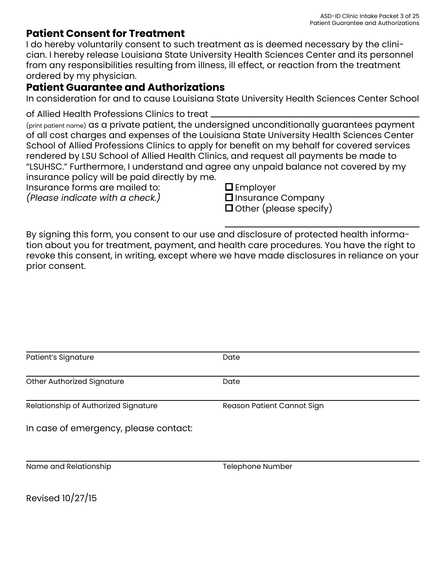### **Patient Consent for Treatment**

I do hereby voluntarily consent to such treatment as is deemed necessary by the clinician. I hereby release Louisiana State University Health Sciences Center and its personnel from any responsibilities resulting from illness, ill effect, or reaction from the treatment ordered by my physician.

### **Patient Guarantee and Authorizations**

In consideration for and to cause Louisiana State University Health Sciences Center School

of Allied Health Professions Clinics to treat

(print patient name) as a private patient, the undersigned unconditionally guarantees payment of all cost charges and expenses of the Louisiana State University Health Sciences Center School of Allied Professions Clinics to apply for benefit on my behalf for covered services rendered by LSU School of Allied Health Clinics, and request all payments be made to "LSUHSC." Furthermore, I understand and agree any unpaid balance not covered by my insurance policy will be paid directly by me.

Insurance forms are mailed to:

*(Please indicate with a check.)*

■Employer

 $\square$  Insurance Company  $\Box$  Other (please specify)

By signing this form, you consent to our use and disclosure of protected health information about you for treatment, payment, and health care procedures. You have the right to revoke this consent, in writing, except where we have made disclosures in reliance on your prior consent.

| Patient's Signature                   | Date                       |  |  |  |
|---------------------------------------|----------------------------|--|--|--|
| Other Authorized Signature            | Date                       |  |  |  |
|                                       |                            |  |  |  |
| Relationship of Authorized Signature  | Reason Patient Cannot Sign |  |  |  |
| In case of emergency, please contact: |                            |  |  |  |
| Name and Relationship                 | Telephone Number           |  |  |  |

Revised 10/27/15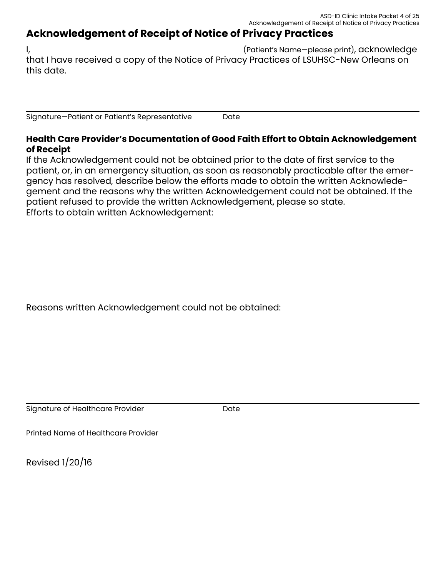## **Acknowledgement of Receipt of Notice of Privacy Practices**

I, (Patient's Name—please print), acknowledge that I have received a copy of the Notice of Privacy Practices of LSUHSC-New Orleans on this date.

Signature—Patient or Patient's Representative Date

#### **Health Care Provider's Documentation of Good Faith Effort to Obtain Acknowledgement of Receipt**

If the Acknowledgement could not be obtained prior to the date of first service to the patient, or, in an emergency situation, as soon as reasonably practicable after the emergency has resolved, describe below the efforts made to obtain the written Acknowledegement and the reasons why the written Acknowledgement could not be obtained. If the patient refused to provide the written Acknowledgement, please so state. Efforts to obtain written Acknowledgement:

Reasons written Acknowledgement could not be obtained:

Signature of Healthcare Provider **Date** Date

Printed Name of Healthcare Provider

Revised 1/20/16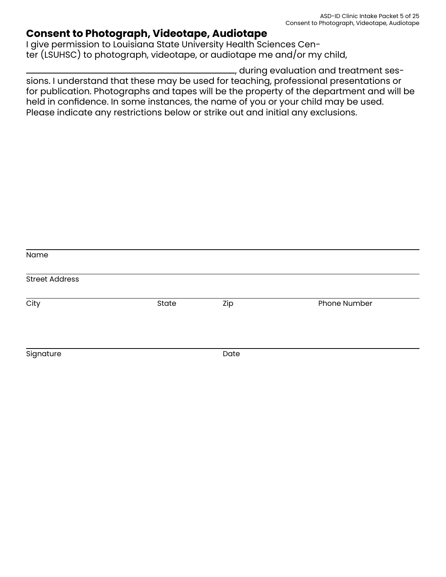### **Consent to Photograph, Videotape, Audiotape**

I give permission to Louisiana State University Health Sciences Center (LSUHSC) to photograph, videotape, or audiotape me and/or my child,

, during evaluation and treatment sessions. I understand that these may be used for teaching, professional presentations or for publication. Photographs and tapes will be the property of the department and will be held in confidence. In some instances, the name of you or your child may be used. Please indicate any restrictions below or strike out and initial any exclusions.

| Name                  |       |      |              |  |  |
|-----------------------|-------|------|--------------|--|--|
| <b>Street Address</b> |       |      |              |  |  |
| City                  | State | Zip  | Phone Number |  |  |
| Signature             |       | Date |              |  |  |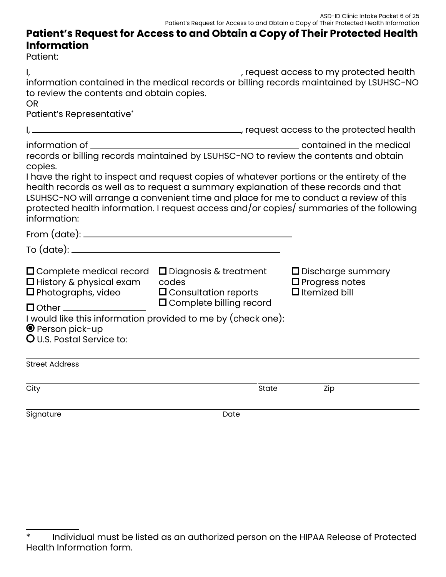### **Patient's Request for Access to and Obtain a Copy of Their Protected Health Information**

Patient:

| l,<br>to review the contents and obtain copies.<br><b>OR</b><br>Patient's Representative*           |                                                                                                                                                                                                                                                                             | , request access to my protected health<br>information contained in the medical records or billing records maintained by LSUHSC-NO |
|-----------------------------------------------------------------------------------------------------|-----------------------------------------------------------------------------------------------------------------------------------------------------------------------------------------------------------------------------------------------------------------------------|------------------------------------------------------------------------------------------------------------------------------------|
|                                                                                                     | request access to the protected health (1999), and the state of the protected health                                                                                                                                                                                        |                                                                                                                                    |
| information of ________<br>copies.                                                                  | contained in the medical<br>records or billing records maintained by LSUHSC-NO to review the contents and obtain                                                                                                                                                            |                                                                                                                                    |
| information:                                                                                        | I have the right to inspect and request copies of whatever portions or the entirety of the<br>health records as well as to request a summary explanation of these records and that<br>LSUHSC-NO will arrange a convenient time and place for me to conduct a review of this | protected health information. I request access and/or copies/ summaries of the following                                           |
|                                                                                                     |                                                                                                                                                                                                                                                                             |                                                                                                                                    |
|                                                                                                     |                                                                                                                                                                                                                                                                             |                                                                                                                                    |
| $\square$ Complete medical record<br>$\square$ History & physical exam<br>$\Box$ Photographs, video | $\square$ Diagnosis & treatment<br>codes<br>$\Box$ Consultation reports                                                                                                                                                                                                     | $\square$ Discharge summary<br>$\square$ Progress notes<br>$\Box$ Itemized bill                                                    |
| $\bullet$ Person pick-up<br><b>O</b> U.S. Postal Service to:                                        | $\Box$ Complete billing record<br>I would like this information provided to me by (check one):                                                                                                                                                                              |                                                                                                                                    |
| <b>Street Address</b>                                                                               |                                                                                                                                                                                                                                                                             |                                                                                                                                    |
| City                                                                                                | State                                                                                                                                                                                                                                                                       | Zip                                                                                                                                |
| Signature                                                                                           | Date                                                                                                                                                                                                                                                                        |                                                                                                                                    |

<sup>\*</sup> Individual must be listed as an authorized person on the HIPAA Release of Protected Health Information form.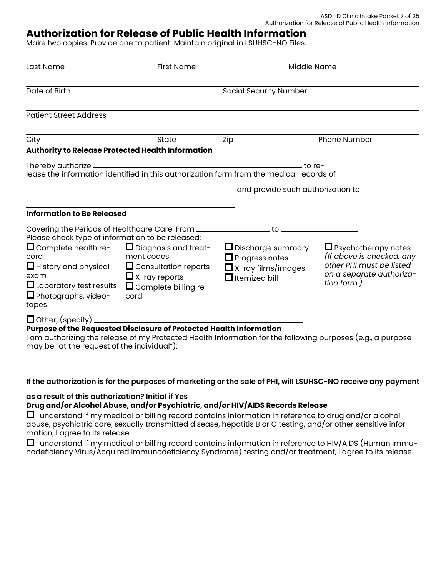### **Authorization for Release of Public Health Information**

Make two copies. Provide one to patient. Maintain original in LSUHSC-NO Files.

| Last Name                                                                                                                                                                                                                                | <b>First Name</b>                                                                                                                                                                                                           | Middle Name                                                                                                                              |                                                                                                                                |  |
|------------------------------------------------------------------------------------------------------------------------------------------------------------------------------------------------------------------------------------------|-----------------------------------------------------------------------------------------------------------------------------------------------------------------------------------------------------------------------------|------------------------------------------------------------------------------------------------------------------------------------------|--------------------------------------------------------------------------------------------------------------------------------|--|
| Date of Birth                                                                                                                                                                                                                            |                                                                                                                                                                                                                             | <b>Social Security Number</b>                                                                                                            |                                                                                                                                |  |
| <b>Patient Street Address</b>                                                                                                                                                                                                            |                                                                                                                                                                                                                             |                                                                                                                                          |                                                                                                                                |  |
| City                                                                                                                                                                                                                                     | State                                                                                                                                                                                                                       | Zip                                                                                                                                      | <b>Phone Number</b>                                                                                                            |  |
| Authority to Release Protected Health Information                                                                                                                                                                                        |                                                                                                                                                                                                                             |                                                                                                                                          |                                                                                                                                |  |
|                                                                                                                                                                                                                                          |                                                                                                                                                                                                                             | – to re-<br>lease the information identified in this authorization form from the medical records of<br>and provide such authorization to |                                                                                                                                |  |
| <b>Information to Be Released</b>                                                                                                                                                                                                        |                                                                                                                                                                                                                             |                                                                                                                                          |                                                                                                                                |  |
| Please check type of information to be released:<br>$\Box$ Complete health re-<br>cord<br>$\Box$ History and physical<br>exam<br>$\Box$ Laboratory test results<br>$\Box$ Photographs, video-<br>tapes<br>$\Box$ Other, (specify) $\_\_$ | Covering the Periods of Healthcare Care: From __________________________________<br>$\Box$ Diagnosis and treat-<br>ment codes<br>$\Box$ Consultation reports<br>$\Box$ X-ray reports<br>$\Box$ Complete billing re-<br>cord | $\Box$ Discharge summary<br>$\Box$ Progress notes<br>$\Box$ X-ray films/images<br>$\Box$ Itemized bill                                   | $\Box$ Psychotherapy notes<br>(If above is checked, any<br>other PHI must be listed<br>on a separate authoriza-<br>tion form.) |  |
|                                                                                                                                                                                                                                          | Purpose of the Requested Disclosure of Protected Health Information                                                                                                                                                         |                                                                                                                                          |                                                                                                                                |  |

I am authorizing the release of my Protected Health Information for the following purposes (e.g., a purpose may be "at the request of the individual"):

#### **If the authorization is for the purposes of marketing or the sale of PHI, will LSUHSC-NO receive any payment**

**as a result of this authorization? Initial if Yes** 

#### **Drug and/or Alcohol Abuse, and/or Psychiatric, and/or HIV/AIDS Records Release**

 $\Box$  I understand if my medical or billing record contains information in reference to drug and/or alcohol abuse, psychiatric care, sexually transmitted disease, hepatitis B or C testing, and/or other sensitive information, I agree to its release.

 $\Box$  I understand if my medical or billing record contains information in reference to HIV/AIDS (Human Immunodeficiency Virus/Acquired Immunodeficiency Syndrome) testing and/or treatment, I agree to its release.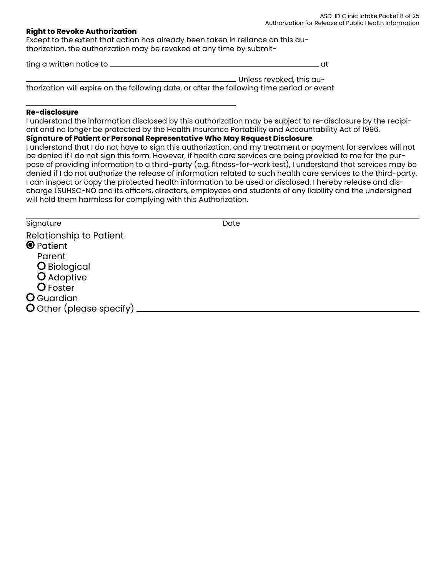#### **Right to Revoke Authorization**

Except to the extent that action has already been taken in reliance on this authorization, the authorization may be revoked at any time by submit-

ting a written notice to at

. Unless revoked, this authorization will expire on the following date, or after the following time period or event

#### **Re-disclosure**

I understand the information disclosed by this authorization may be subject to re-disclosure by the recipient and no longer be protected by the Health Insurance Portability and Accountability Act of 1996.

.

#### **Signature of Patient or Personal Representative Who May Request Disclosure**

I understand that I do not have to sign this authorization, and my treatment or payment for services will not be denied if I do not sign this form. However, if health care services are being provided to me for the purpose of providing information to a third-party (e.g. fitness-for-work test), I understand that services may be denied if I do not authorize the release of information related to such health care services to the third-party. I can inspect or copy the protected health information to be used or disclosed. I hereby release and discharge LSUHSC-NO and its officers, directors, employees and students of any liability and the undersigned will hold them harmless for complying with this Authorization.

Signature Date Date

Relationship to Patient **O** Patient Parent O Biological O Adoptive O Foster **O** Guardian O Other (please specify)  $-$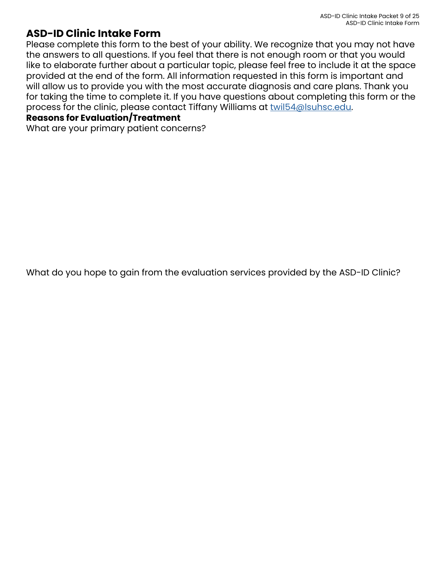### **ASD-ID Clinic Intake Form**

Please complete this form to the best of your ability. We recognize that you may not have the answers to all questions. If you feel that there is not enough room or that you would like to elaborate further about a particular topic, please feel free to include it at the space provided at the end of the form. All information requested in this form is important and will allow us to provide you with the most accurate diagnosis and care plans. Thank you for taking the time to complete it. If you have questions about completing this form or the process for the clinic, please contact Tiffany Williams at [twil54@lsuhsc.edu](mailto:twil54%40lsuhsc.edu?subject=).

#### **Reasons for Evaluation/Treatment**

What are your primary patient concerns?

What do you hope to gain from the evaluation services provided by the ASD-ID Clinic?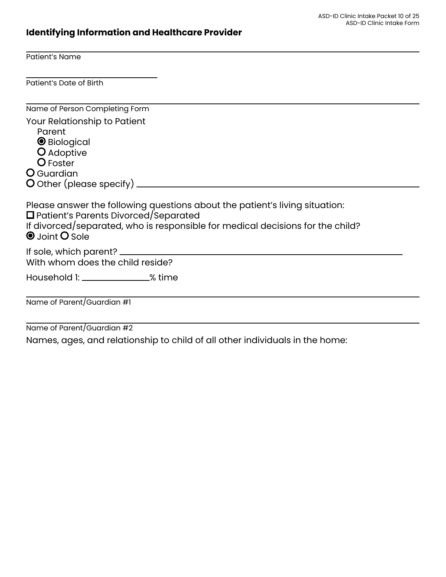# **Identifying Information and Healthcare Provider**

Patient's Name

Patient's Date of Birth

| Name of Person Completing Form                                                                                                                                                                                                        |
|---------------------------------------------------------------------------------------------------------------------------------------------------------------------------------------------------------------------------------------|
| Your Relationship to Patient<br>Parent<br><b>O</b> Biological<br>O Adoptive<br>O Foster                                                                                                                                               |
| O Guardian                                                                                                                                                                                                                            |
|                                                                                                                                                                                                                                       |
| Please answer the following questions about the patient's living situation:<br>$\Box$ Patient's Parents Divorced/Separated<br>If divorced/separated, who is responsible for medical decisions for the child?<br><b>O</b> Joint O Sole |
| With whom does the child reside?                                                                                                                                                                                                      |
| Household 1: _________________% time                                                                                                                                                                                                  |
| Name of Parent/Guardian #1                                                                                                                                                                                                            |
| $\epsilon$ $\sim$ $\epsilon$ $\sim$ $\epsilon$ $\sim$ $\epsilon$                                                                                                                                                                      |

Name of Parent/Guardian #2

Names, ages, and relationship to child of all other individuals in the home: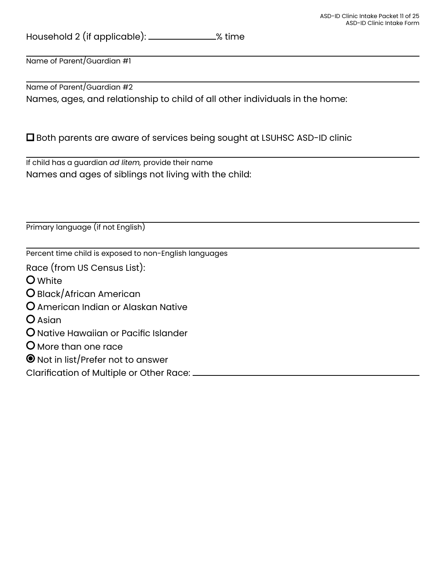Household 2 (if applicable): \_\_\_\_\_\_\_\_\_\_\_\_\_% time

Name of Parent/Guardian #1

Name of Parent/Guardian #2 Names, ages, and relationship to child of all other individuals in the home:

Both parents are aware of services being sought at LSUHSC ASD-ID clinic

If child has a guardian *ad litem,* provide their name Names and ages of siblings not living with the child:

Primary language (if not English)

Percent time child is exposed to non-English languages

Race (from US Census List):

White

- Black/African American
- American Indian or Alaskan Native
- **O** Asian
- O Native Hawaiian or Pacific Islander
- **O** More than one race
- Not in list/Prefer not to answer

Clarification of Multiple or Other Race: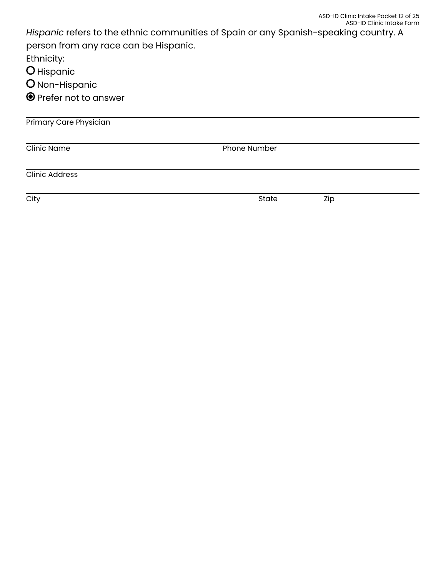|                                       | ASD-ID Clinic Intake Packet 12 of 25<br>ASD-ID Clinic Intake Form                     |  |  |  |  |
|---------------------------------------|---------------------------------------------------------------------------------------|--|--|--|--|
|                                       | Hispanic refers to the ethnic communities of Spain or any Spanish-speaking country. A |  |  |  |  |
| person from any race can be Hispanic. |                                                                                       |  |  |  |  |
| Ethnicity:                            |                                                                                       |  |  |  |  |
| O Hispanic                            |                                                                                       |  |  |  |  |
| O Non-Hispanic                        |                                                                                       |  |  |  |  |
| <b>O</b> Prefer not to answer         |                                                                                       |  |  |  |  |
| <b>Primary Care Physician</b>         |                                                                                       |  |  |  |  |
| <b>Clinic Name</b>                    | <b>Phone Number</b>                                                                   |  |  |  |  |
| <b>Clinic Address</b>                 |                                                                                       |  |  |  |  |
|                                       |                                                                                       |  |  |  |  |

City State Zip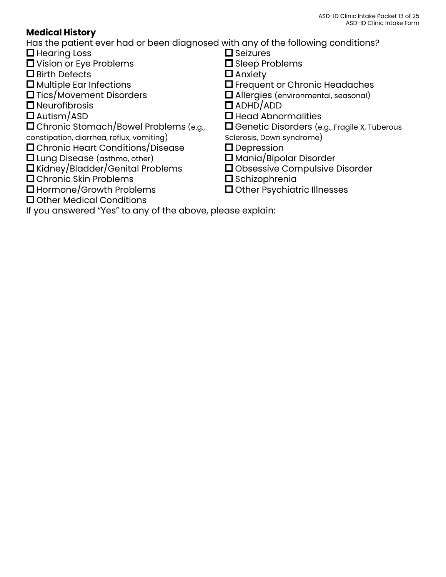### **Medical History**

Has the patient ever had or been diagnosed with any of the following conditions?

- $\Box$  Hearing Loss
- **D** Vision or Eye Problems
- □ Birth Defects
- $\square$  Multiple Ear Infections
- **□** Tics/Movement Disorders
- $\square$  Neurofibrosis
- $\square$  Autism/ASD
- Chronic Stomach/Bowel Problems (e.g.,
- constipation, diarrhea, reflux, vomiting)
- Chronic Heart Conditions/Disease
- Lung Disease (asthma, other)
- Kidney/Bladder/Genital Problems
- **O** Chronic Skin Problems
- **□** Hormone/Growth Problems
- **□** Other Medical Conditions
- $\square$  Seizures
- □ Sleep Problems
- $\Box$  Anxiety
- **D** Frequent or Chronic Headaches
- Allergies (environmental, seasonal)
- ADHD/ADD
- $\square$  Head Abnormalities
- □ Genetic Disorders (e.g., Fragile X, Tuberous
- Sclerosis, Down syndrome)
- **D** Depression
- Mania/Bipolar Disorder
- Obsessive Compulsive Disorder
- $\square$  Schizophrenia
- Other Psychiatric Illnesses

If you answered "Yes" to any of the above, please explain: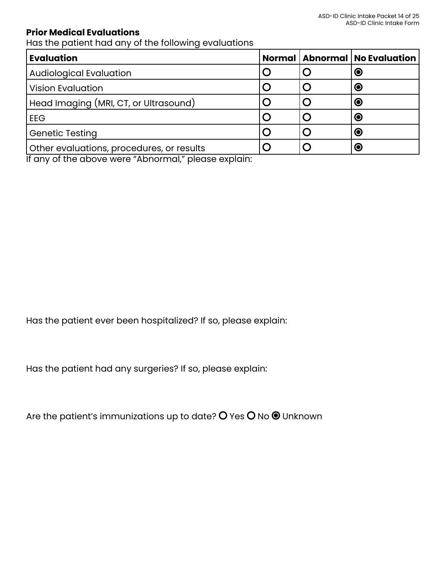#### **Prior Medical Evaluations**

Has the patient had any of the following evaluations

| <b>Evaluation</b>                         |  | Normal   Abnormal   No Evaluation |
|-------------------------------------------|--|-----------------------------------|
| <b>Audiological Evaluation</b>            |  | $\bullet$                         |
| <b>Vision Evaluation</b>                  |  | $\bullet$                         |
| Head Imaging (MRI, CT, or Ultrasound)     |  | $\bullet$                         |
| EEG                                       |  | $\bullet$                         |
| Genetic Testing                           |  | $\odot$                           |
| Other evaluations, procedures, or results |  | $\odot$                           |

If any of the above were "Abnormal," please explain:

Has the patient ever been hospitalized? If so, please explain:

Has the patient had any surgeries? If so, please explain:

Are the patient's immunizations up to date?  $O$  Yes  $O$  No  $\odot$  Unknown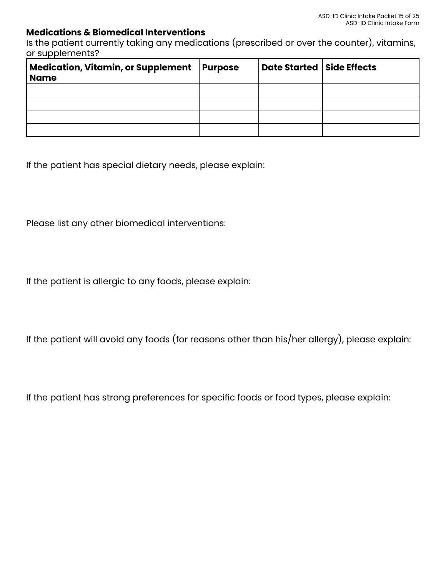#### **Medications & Biomedical Interventions**

Is the patient currently taking any medications (prescribed or over the counter), vitamins, or supplements?

| <b>Medication, Vitamin, or Supplement</b><br><b>Name</b> | <b>Purpose</b> | Date Started   Side Effects |  |
|----------------------------------------------------------|----------------|-----------------------------|--|
|                                                          |                |                             |  |
|                                                          |                |                             |  |
|                                                          |                |                             |  |
|                                                          |                |                             |  |

If the patient has special dietary needs, please explain:

Please list any other biomedical interventions:

If the patient is allergic to any foods, please explain:

If the patient will avoid any foods (for reasons other than his/her allergy), please explain:

If the patient has strong preferences for specific foods or food types, please explain: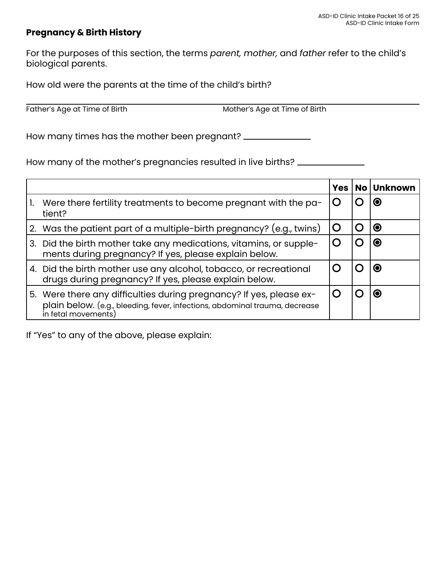#### **Pregnancy & Birth History**

For the purposes of this section, the terms *parent, mother,* and *father* refer to the child's biological parents.

How old were the parents at the time of the child's birth?

Father's Age at Time of Birth Mother's Age at Time of Birth

How many times has the mother been pregnant?

How many of the mother's pregnancies resulted in live births?

|                                                                                                                                                                           | Yes $\mathsf{l}$ | No   Unknown |
|---------------------------------------------------------------------------------------------------------------------------------------------------------------------------|------------------|--------------|
| Were there fertility treatments to become pregnant with the pa-<br>tient?                                                                                                 |                  | <b>O</b>     |
| 2. Was the patient part of a multiple-birth pregnancy? (e.g., twins)                                                                                                      |                  | $\bullet$    |
| 3. Did the birth mother take any medications, vitamins, or supple-<br>ments during pregnancy? If yes, please explain below.                                               |                  | $\odot$      |
| 4. Did the birth mother use any alcohol, tobacco, or recreational<br>drugs during pregnancy? If yes, please explain below.                                                |                  | Ю            |
| 5. Were there any difficulties during pregnancy? If yes, please ex-<br>plain below. (e.g., bleeding, fever, infections, abdominal trauma, decrease<br>in fetal movements) |                  | О            |

If "Yes" to any of the above, please explain: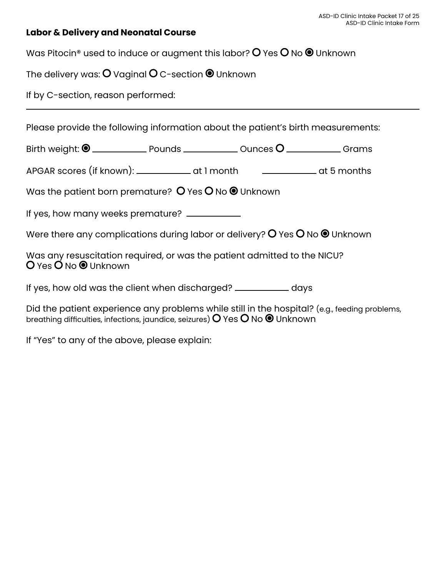#### **Labor & Delivery and Neonatal Course**

Was Pitocin® used to induce or augment this labor?  $O$  Yes  $O$  No  $\odot$  Unknown

The delivery was:  $O$  Vaginal  $O$  C-section  $\bullet$  Unknown

If by C-section, reason performed:

Please provide the following information about the patient's birth measurements:

Birth weight: Pounds Ounces Grams

APGAR scores (if known): \_\_\_\_\_\_\_\_\_\_\_\_\_ at 1 month \_\_\_\_\_\_\_\_\_\_\_\_\_\_ at 5 months

Was the patient born premature?  $O$  Yes  $O$  No  $\odot$  Unknown

If yes, how many weeks premature? \_\_\_\_\_\_\_\_\_\_

Were there any complications during labor or delivery?  $O$  Yes  $O$  No  $\bullet$  Unknown

Was any resuscitation required, or was the patient admitted to the NICU? O Yes O No <sup>O</sup> Unknown

If yes, how old was the client when discharged? \_\_\_\_\_\_\_\_\_\_\_\_\_\_ days

Did the patient experience any problems while still in the hospital? (e.g., feeding problems, breathing difficulties, infections, jaundice, seizures)  $O$  Yes  $O$  No  $\odot$  Unknown

If "Yes" to any of the above, please explain: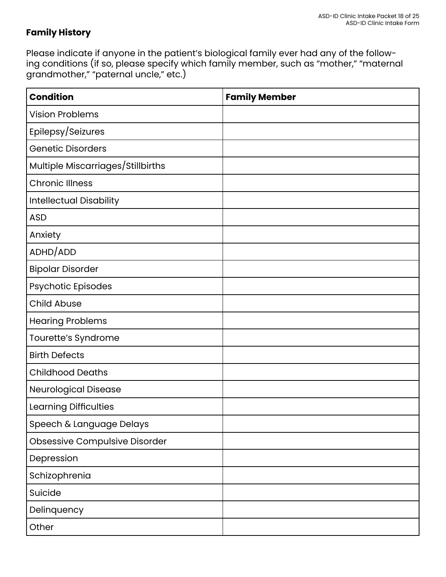### **Family History**

Please indicate if anyone in the patient's biological family ever had any of the following conditions (if so, please specify which family member, such as "mother," "maternal grandmother," "paternal uncle," etc.)

| <b>Condition</b>                     | <b>Family Member</b> |
|--------------------------------------|----------------------|
| <b>Vision Problems</b>               |                      |
| Epilepsy/Seizures                    |                      |
| <b>Genetic Disorders</b>             |                      |
| Multiple Miscarriages/Stillbirths    |                      |
| <b>Chronic Illness</b>               |                      |
| <b>Intellectual Disability</b>       |                      |
| <b>ASD</b>                           |                      |
| Anxiety                              |                      |
| ADHD/ADD                             |                      |
| <b>Bipolar Disorder</b>              |                      |
| Psychotic Episodes                   |                      |
| <b>Child Abuse</b>                   |                      |
| <b>Hearing Problems</b>              |                      |
| Tourette's Syndrome                  |                      |
| <b>Birth Defects</b>                 |                      |
| <b>Childhood Deaths</b>              |                      |
| <b>Neurological Disease</b>          |                      |
| Learning Difficulties                |                      |
| Speech & Language Delays             |                      |
| <b>Obsessive Compulsive Disorder</b> |                      |
| Depression                           |                      |
| Schizophrenia                        |                      |
| Suicide                              |                      |
| Delinquency                          |                      |
| Other                                |                      |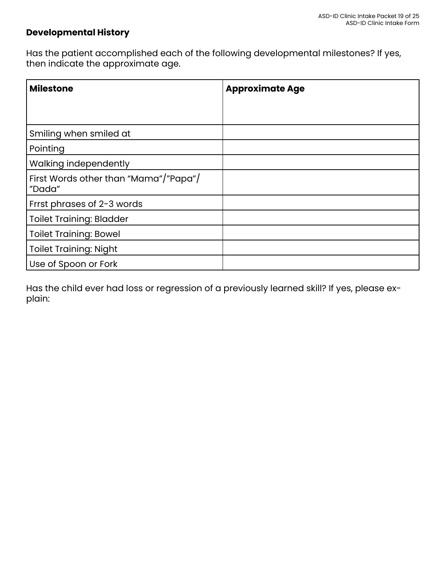#### **Developmental History**

Has the patient accomplished each of the following developmental milestones? If yes, then indicate the approximate age.

| <b>Milestone</b>                                | <b>Approximate Age</b> |
|-------------------------------------------------|------------------------|
|                                                 |                        |
|                                                 |                        |
| Smiling when smiled at                          |                        |
| Pointing                                        |                        |
| Walking independently                           |                        |
| First Words other than "Mama"/"Papa"/<br>"Dada" |                        |
| Frrst phrases of 2-3 words                      |                        |
| Toilet Training: Bladder                        |                        |
| <b>Toilet Training: Bowel</b>                   |                        |
| <b>Toilet Training: Night</b>                   |                        |
| Use of Spoon or Fork                            |                        |

Has the child ever had loss or regression of a previously learned skill? If yes, please explain: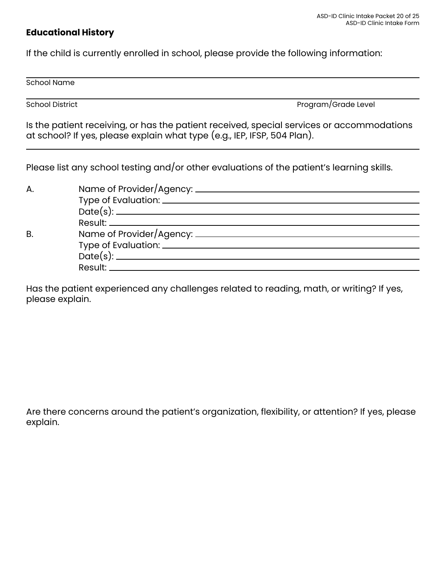#### **Educational History**

If the child is currently enrolled in school, please provide the following information:

School Name

School District **Program/Grade Level** 

Is the patient receiving, or has the patient received, special services or accommodations at school? If yes, please explain what type (e.g., IEP, IFSP, 504 Plan).

Please list any school testing and/or other evaluations of the patient's learning skills.

| A. |                                                                                                                 |
|----|-----------------------------------------------------------------------------------------------------------------|
|    |                                                                                                                 |
|    |                                                                                                                 |
|    |                                                                                                                 |
| B  |                                                                                                                 |
|    |                                                                                                                 |
|    |                                                                                                                 |
|    | Result: Network and the set of the set of the set of the set of the set of the set of the set of the set of the |

Has the patient experienced any challenges related to reading, math, or writing? If yes, please explain.

Are there concerns around the patient's organization, flexibility, or attention? If yes, please explain.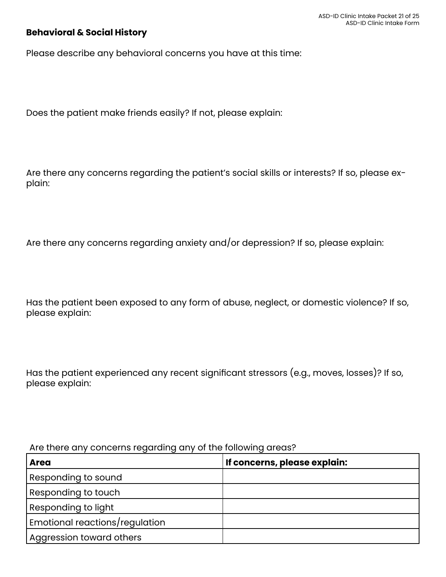#### **Behavioral & Social History**

Please describe any behavioral concerns you have at this time:

Does the patient make friends easily? If not, please explain:

Are there any concerns regarding the patient's social skills or interests? If so, please explain:

Are there any concerns regarding anxiety and/or depression? If so, please explain:

Has the patient been exposed to any form of abuse, neglect, or domestic violence? If so, please explain:

Has the patient experienced any recent significant stressors (e.g., moves, losses)? If so, please explain:

#### Are there any concerns regarding any of the following areas?

| <b>Area</b>                    | If concerns, please explain: |
|--------------------------------|------------------------------|
| Responding to sound            |                              |
| Responding to touch            |                              |
| Responding to light            |                              |
| Emotional reactions/regulation |                              |
| Aggression toward others       |                              |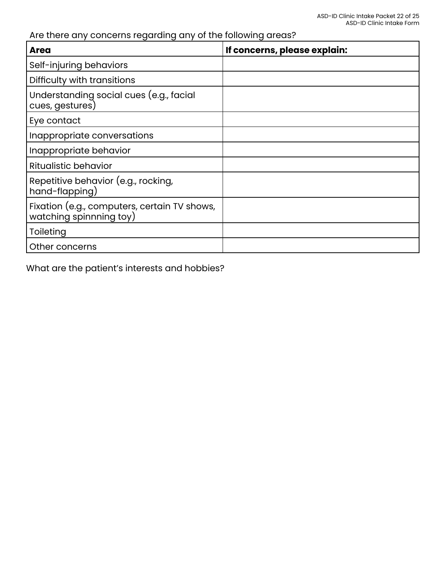### Are there any concerns regarding any of the following areas?

| <b>Area</b>                                                             | If concerns, please explain: |
|-------------------------------------------------------------------------|------------------------------|
| Self-injuring behaviors                                                 |                              |
| Difficulty with transitions                                             |                              |
| Understanding social cues (e.g., facial<br>cues, gestures)              |                              |
| Eye contact                                                             |                              |
| Inappropriate conversations                                             |                              |
| Inappropriate behavior                                                  |                              |
| <b>Ritualistic behavior</b>                                             |                              |
| Repetitive behavior (e.g., rocking,<br>hand-flapping)                   |                              |
| Fixation (e.g., computers, certain TV shows,<br>watching spinnning toy) |                              |
| Toileting                                                               |                              |
| Other concerns                                                          |                              |

What are the patient's interests and hobbies?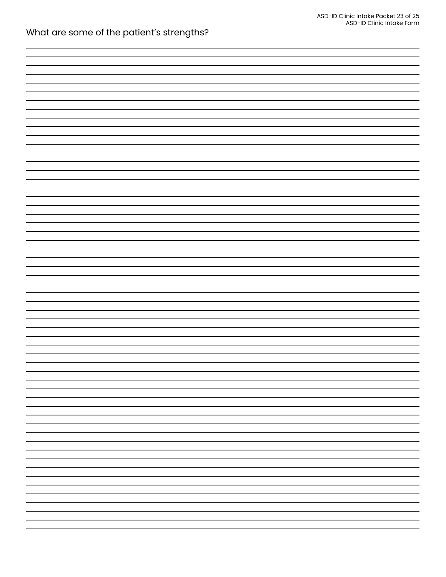| What are some of the patient's strengths? |  |  |
|-------------------------------------------|--|--|
|-------------------------------------------|--|--|

| - |  |
|---|--|
|   |  |
|   |  |
|   |  |
| - |  |
|   |  |
|   |  |
|   |  |
|   |  |
|   |  |
| - |  |
|   |  |
|   |  |
|   |  |
|   |  |
|   |  |
| - |  |
|   |  |
|   |  |
|   |  |
|   |  |
|   |  |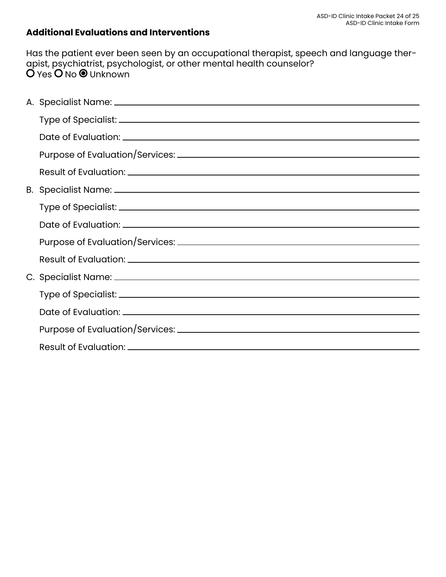### **Additional Evaluations and Interventions**

Has the patient ever been seen by an occupational therapist, speech and language therapist, psychiatrist, psychologist, or other mental health counselor? 'Yes **∪** No ♥ Unknown